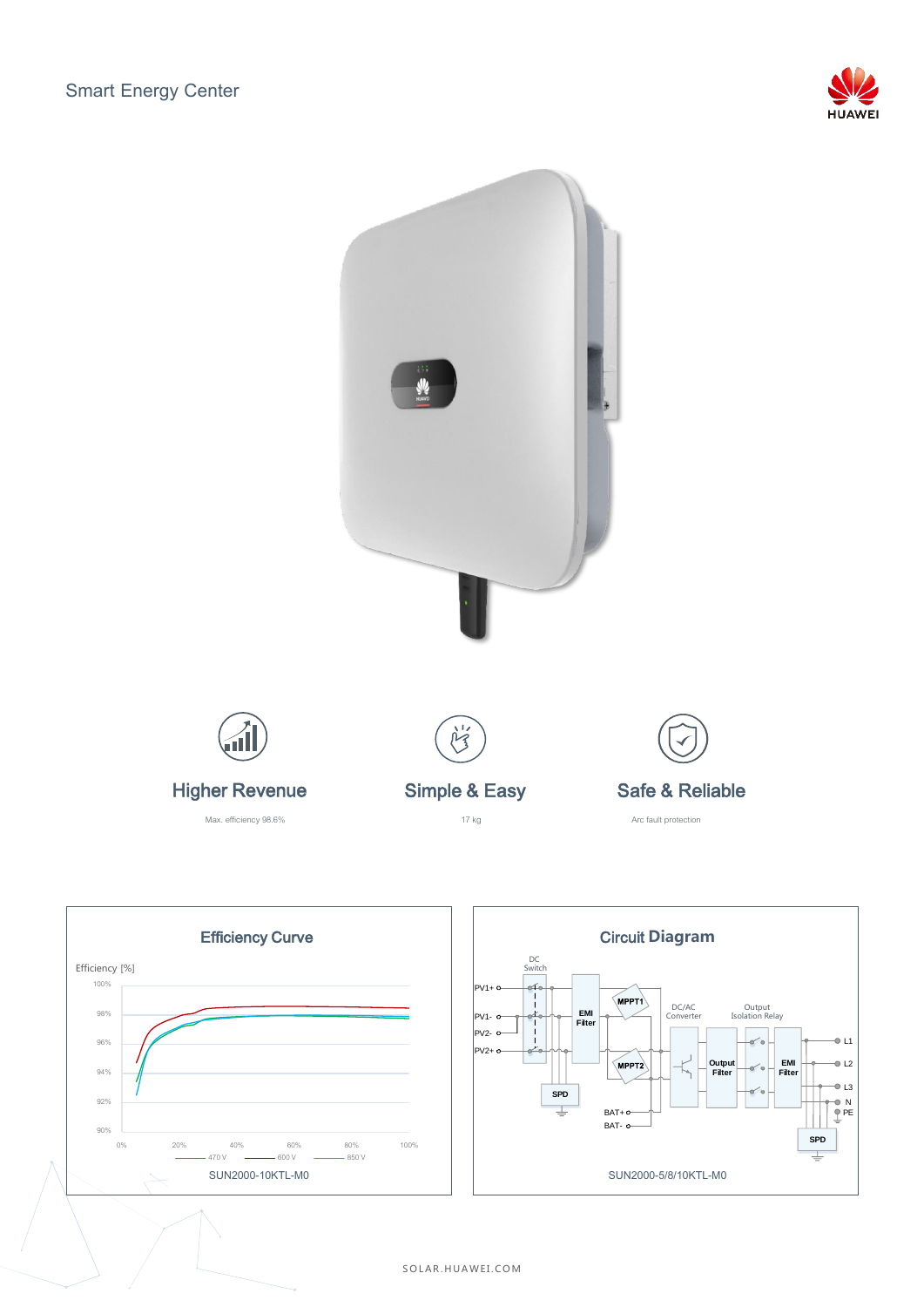





S O L A R . H U A W E I .C O M